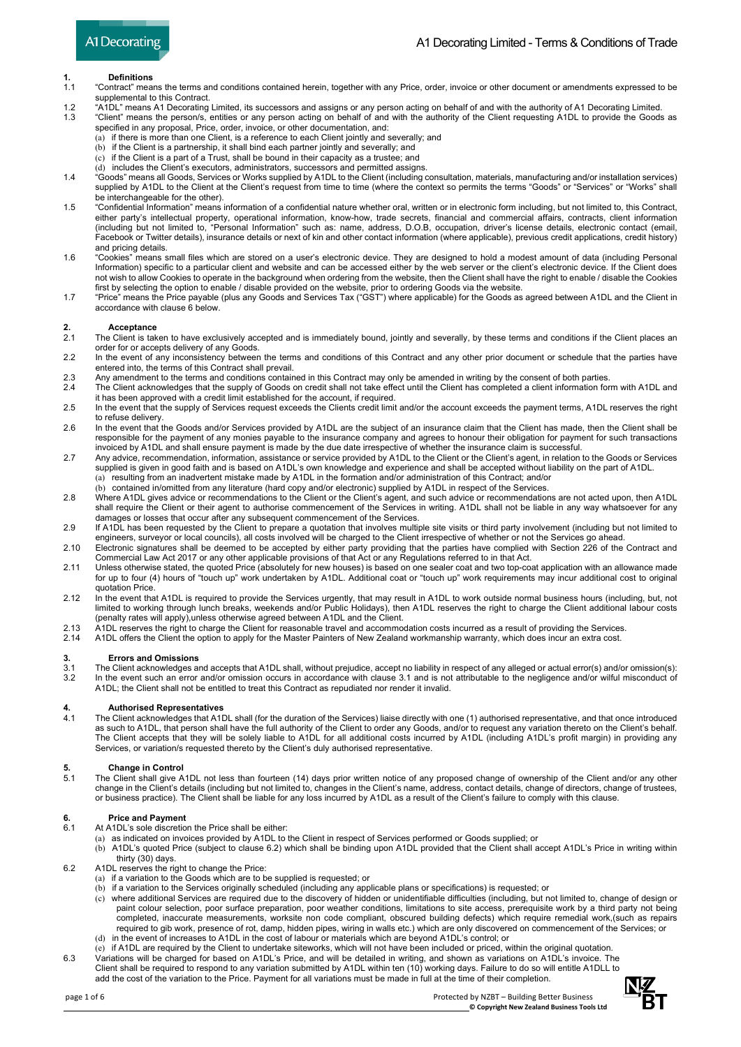

# **1.** Definitions<br>1.1 "Contract" mea

- 1.1 "Contract" means the terms and conditions contained herein, together with any Price, order, invoice or other document or amendments expressed to be supplemental to this Contract.
- 1.2 "A1DL" means A1 Decorating Limited, its successors and assigns or any person acting on behalf of and with the authority of A1 Decorating Limited.<br>13 "Client" means the person/s, entities or any person acting on behalf 1.3 "Client" means the person/s, entities or any person acting on behalf of and with the authority of the Client requesting A1DL to provide the Goods as
	- specified in any proposal, Price, order, invoice, or other documentation, and:
	- (a) if there is more than one Client, is a reference to each Client jointly and severally; and (b) if the Client is a partnership it shall bind each partner jointly and severally; and (b) if the Client is a partnership, it shall bind each partner jointly and severally; and
	- $\overrightarrow{(c)}$  if the Client is a part of a Trust, shall be bound in their capacity as a trustee; and
	- (d) includes the Client's executors, administrators, successors and permitted assigns.
- 1.4 "Goods" means all Goods, Services or Works supplied by A1DL to the Client (including consultation, materials, manufacturing and/or installation services) supplied by A1DL to the Client at the Client's request from time to time (where the context so permits the terms "Goods" or "Services" or "Works" shall be interchangeable for the other).
- 1.5 "Confidential Information" means information of a confidential nature whether oral, written or in electronic form including, but not limited to, this Contract, either party's intellectual property, operational information, know-how, trade secrets, financial and commercial affairs, contracts, client information (including but not limited to, "Personal Information" such as: name, address, D.O.B, occupation, driver's license details, electronic contact (email, Facebook or Twitter details), insurance details or next of kin and other contact information (where applicable), previous credit applications, credit history) and pricing details.
- 1.6 "Cookies" means small files which are stored on a user's electronic device. They are designed to hold a modest amount of data (including Personal Information) specific to a particular client and website and can be accessed either by the web server or the client's electronic device. If the Client does not wish to allow Cookies to operate in the background when ordering from the website, then the Client shall have the right to enable / disable the Cookies first by selecting the option to enable / disable provided on the website, prior to ordering Goods via the website.
- 1.7 "Price" means the Price payable (plus any Goods and Services Tax ("GST") where applicable) for the Goods as agreed between A1DL and the Client in accordance with clause 6 below.

# **2. Acceptance**<br>**2.1** The Client is tak

- The Client is taken to have exclusively accepted and is immediately bound, jointly and severally, by these terms and conditions if the Client places an order for or accepts delivery of any Goods.
- 2.2 In the event of any inconsistency between the terms and conditions of this Contract and any other prior document or schedule that the parties have entered into, the terms of this Contract shall prevail.
- 2.3 Any amendment to the terms and conditions contained in this Contract may only be amended in writing by the consent of both parties.<br>2.4 The Client acknowledges that the supply of Goods on credit shall not take effect u
- The Client acknowledges that the supply of Goods on credit shall not take effect until the Client has completed a client information form with A1DL and it has been approved with a credit limit established for the account, if required.
- 2.5 In the event that the supply of Services request exceeds the Clients credit limit and/or the account exceeds the payment terms, A1DL reserves the right to refuse delivery.
- 2.6 In the event that the Goods and/or Services provided by A1DL are the subject of an insurance claim that the Client has made, then the Client shall be responsible for the payment of any monies payable to the insurance company and agrees to honour their obligation for payment for such transactions invoiced by A1DL and shall ensure payment is made by the due date irrespective of whether the insurance claim is successful.
- 2.7 Any advice, recommendation, information, assistance or service provided by A1DL to the Client or the Client's agent, in relation to the Goods or Services supplied is given in good faith and is based on A1DL's own knowledge and experience and shall be accepted without liability on the part of A1DL. (a) resulting from an inadvertent mistake made by A1DL in the formation and/or administration of this Contract; and/or
- (b) contained in/omitted from any literature (hard copy and/or electronic) supplied by A1DL in respect of the Services.
- 2.8 Where A1DL gives advice or recommendations to the Client or the Client's agent, and such advice or recommendations are not acted upon, then A1DL shall require the Client or their agent to authorise commencement of the Services in writing. A1DL shall not be liable in any way whatsoever for any damages or losses that occur after any subsequent commencement of the Services.
- 2.9 If A1DL has been requested by the Client to prepare a quotation that involves multiple site visits or third party involvement (including but not limited to engineers, surveyor or local councils), all costs involved will be charged to the Client irrespective of whether or not the Services go ahead.
- 2.10 Electronic signatures shall be deemed to be accepted by either party providing that the parties have complied with Section 226 of the Contract and Commercial Law Act 2017 or any other applicable provisions of that Act or any Regulations referred to in that Act.
- 2.11 Unless otherwise stated, the quoted Price (absolutely for new houses) is based on one sealer coat and two top-coat application with an allowance made for up to four (4) hours of "touch up" work undertaken by A1DL. Additional coat or "touch up" work requirements may incur additional cost to original quotation Price.
- 2.12 In the event that A1DL is required to provide the Services urgently, that may result in A1DL to work outside normal business hours (including, but, not limited to working through lunch breaks, weekends and/or Public Holidays), then A1DL reserves the right to charge the Client additional labour costs (penalty rates will apply),unless otherwise agreed between A1DL and the Client.
- 
- 2.13 A1DL reserves the right to charge the Client for reasonable travel and accommodation costs incurred as a result of providing the Services.<br>2.14 A1DL offers the Client the option to apply for the Master Painters of New A1DL offers the Client the option to apply for the Master Painters of New Zealand workmanship warranty, which does incur an extra cost.

### **3. Errors and Omissions**

3.1 The Client acknowledges and accepts that A1DL shall, without prejudice, accept no liability in respect of any alleged or actual error(s) and/or omission(s):<br>3.2 In the event such an error and/or omission occurs in acco In the event such an error and/or omission occurs in accordance with clause 3.1 and is not attributable to the negligence and/or wilful misconduct of A1DL; the Client shall not be entitled to treat this Contract as repudiated nor render it invalid.

### **4. Authorised Representatives**

4.1 The Client acknowledges that A1DL shall (for the duration of the Services) liaise directly with one (1) authorised representative, and that once introduced as such to A1DL, that person shall have the full authority of the Client to order any Goods, and/or to request any variation thereto on the Client's behalf. The Client accepts that they will be solely liable to A1DL for all additional costs incurred by A1DL (including A1DL's profit margin) in providing any Services, or variation/s requested thereto by the Client's duly authorised representative.

# **5. Change in Control**<br>5.1 The Client shall give A

The Client shall give A1DL not less than fourteen (14) days prior written notice of any proposed change of ownership of the Client and/or any other change in the Client's details (including but not limited to, changes in the Client's name, address, contact details, change of directors, change of trustees, or business practice). The Client shall be liable for any loss incurred by A1DL as a result of the Client's failure to comply with this clause.

# **6.** Price and Payment<br>6.1 At A1DL's sole discretion

- At A1DL's sole discretion the Price shall be either:
- (a) as indicated on invoices provided by A1DL to the Client in respect of Services performed or Goods supplied; or
- (b) A1DL's quoted Price (subject to clause 6.2) which shall be binding upon A1DL provided that the Client shall accept A1DL's Price in writing within thirty (30) days.
- 6.2 A1DL reserves the right to change the Price:
	- (a) if a variation to the Goods which are to be supplied is requested; or
	- (b) if a variation to the Services originally scheduled (including any applicable plans or specifications) is requested; or
	- (c) where additional Services are required due to the discovery of hidden or unidentifiable difficulties (including, but not limited to, change of design or paint colour selection, poor surface preparation, poor weather conditions, limitations to site access, prerequisite work by a third party not being completed, inaccurate measurements, worksite non code compliant, obscured building defects) which require remedial work,(such as repairs required to gib work, presence of rot, damp, hidden pipes, wiring in walls etc.) which are only discovered on commencement of the Services; or
	- in the event of increases to A1DL in the cost of labour or materials which are beyond A1DL's control; or
- (e) if A1DL are required by the Client to undertake siteworks, which will not have been included or priced, within the original quotation. 6.3 Variations will be charged for based on A1DL's Price, and will be detailed in writing, and shown as variations on A1DL's invoice. The
- Client shall be required to respond to any variation submitted by A1DL within ten (10) working days. Failure to do so will entitle A1DLL to add the cost of the variation to the Price. Payment for all variations must be made in full at the time of their completion.

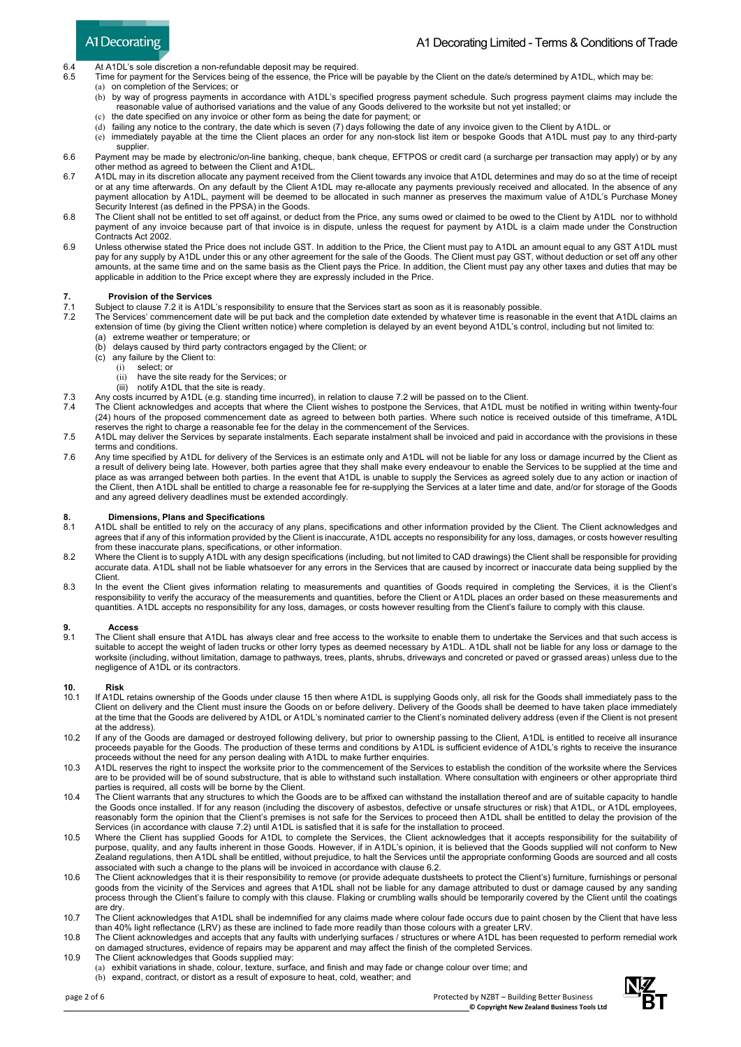

### A1 Decorating Limited - Terms & Conditions of Trade

- 6.4 At A1DL's sole discretion a non-refundable deposit may be required.<br>6.5 Time for payment for the Services being of the essence, the Price wi
	- Time for payment for the Services being of the essence, the Price will be payable by the Client on the date/s determined by A1DL, which may be: (a) on completion of the Services; or
		- (b) by way of progress payments in accordance with A1DL's specified progress payment schedule. Such progress payment claims may include the reasonable value of authorised variations and the value of any Goods delivered to the worksite but not yet installed; or
		- (c) the date specified on any invoice or other form as being the date for payment; or
		- (d) failing any notice to the contrary, the date which is seven (7) days following the date of any invoice given to the Client by A1DL. or (e) immediately payable at the time the Client places an order for any non-stock list item or bespoke Goods that A1DL must pay to any third-party supplier
- 6.6 Payment may be made by electronic/on-line banking, cheque, bank cheque, EFTPOS or credit card (a surcharge per transaction may apply) or by any other method as agreed to between the Client and A1DL.
- 6.7 A1DL may in its discretion allocate any payment received from the Client towards any invoice that A1DL determines and may do so at the time of receipt or at any time afterwards. On any default by the Client A1DL may re-allocate any payments previously received and allocated. In the absence of any payment allocation by A1DL, payment will be deemed to be allocated in such manner as preserves the maximum value of A1DL's Purchase Money Security Interest (as defined in the PPSA) in the Goods.
- 6.8 The Client shall not be entitled to set off against, or deduct from the Price, any sums owed or claimed to be owed to the Client by A1DL nor to withhold payment of any invoice because part of that invoice is in dispute, unless the request for payment by A1DL is a claim made under the Construction Contracts Act 2002.
- 6.9 Unless otherwise stated the Price does not include GST. In addition to the Price, the Client must pay to A1DL an amount equal to any GST A1DL must pay for any supply by A1DL under this or any other agreement for the sale of the Goods. The Client must pay GST, without deduction or set off any other amounts, at the same time and on the same basis as the Client pays the Price. In addition, the Client must pay any other taxes and duties that may be applicable in addition to the Price except where they are expressly included in the Price.

# **7.** Provision of the Services<br>**7.1** Subject to clause 7.2 it is A1D

- 7.1 Subject to clause 7.2 it is A1DL's responsibility to ensure that the Services start as soon as it is reasonably possible.<br>7.2 The Services' commoncement date will be put back and the completion date extended by whateve
	- The Services' commencement date will be put back and the completion date extended by whatever time is reasonable in the event that A1DL claims an extension of time (by giving the Client written notice) where completion is delayed by an event beyond A1DL's control, including but not limited to: (a) extreme weather or temperature; or
		- (b) delays caused by third party contractors engaged by the Client; or
		- (c) any failure by the Client to:
			- (i) select; or
			- $(iii)$  have the site ready for the Services; or  $(iii)$  notify A1DL that the site is ready.
			- notify A1DL that the site is ready.
- 7.3 Any costs incurred by A1DL (e.g. standing time incurred), in relation to clause 7.2 will be passed on to the Client.<br>7.4 The Client acknowledges and accents that where the Client wishes to postpone the Senvices, that A
- The Client acknowledges and accepts that where the Client wishes to postpone the Services, that A1DL must be notified in writing within twenty-four (24) hours of the proposed commencement date as agreed to between both parties. Where such notice is received outside of this timeframe, A1DL reserves the right to charge a reasonable fee for the delay in the commencement of the Services.
- 7.5 A1DL may deliver the Services by separate instalments. Each separate instalment shall be invoiced and paid in accordance with the provisions in these terms and conditions.
- 7.6 Any time specified by A1DL for delivery of the Services is an estimate only and A1DL will not be liable for any loss or damage incurred by the Client as a result of delivery being late. However, both parties agree that they shall make every endeavour to enable the Services to be supplied at the time and place as was arranged between both parties. In the event that A1DL is unable to supply the Services as agreed solely due to any action or inaction of the Client, then A1DL shall be entitled to charge a reasonable fee for re-supplying the Services at a later time and date, and/or for storage of the Goods and any agreed delivery deadlines must be extended accordingly.

## **8. Dimensions, Plans and Specifications**<br>**8.1 A1DL** shall be entitled to rely on the accuracy

- A1DL shall be entitled to rely on the accuracy of any plans, specifications and other information provided by the Client. The Client acknowledges and agrees that if any of this information provided by the Client is inaccurate, A1DL accepts no responsibility for any loss, damages, or costs however resulting from these inaccurate plans, specifications, or other information.
- 8.2 Where the Client is to supply A1DL with any design specifications (including, but not limited to CAD drawings) the Client shall be responsible for providing accurate data. A1DL shall not be liable whatsoever for any errors in the Services that are caused by incorrect or inaccurate data being supplied by the Client.
- 8.3 In the event the Client gives information relating to measurements and quantities of Goods required in completing the Services, it is the Client's responsibility to verify the accuracy of the measurements and quantities, before the Client or A1DL places an order based on these measurements and quantities. A1DL accepts no responsibility for any loss, damages, or costs however resulting from the Client's failure to comply with this clause.

### **9. Access**

The Client shall ensure that A1DL has always clear and free access to the worksite to enable them to undertake the Services and that such access is suitable to accept the weight of laden trucks or other lorry types as deemed necessary by A1DL. A1DL shall not be liable for any loss or damage to the worksite (including, without limitation, damage to pathways, trees, plants, shrubs, driveways and concreted or paved or grassed areas) unless due to the negligence of A1DL or its contractors.

- **10. Risk** If A1DL retains ownership of the Goods under clause 15 then where A1DL is supplying Goods only, all risk for the Goods shall immediately pass to the Client on delivery and the Client must insure the Goods on or before delivery. Delivery of the Goods shall be deemed to have taken place immediately at the time that the Goods are delivered by A1DL or A1DL's nominated carrier to the Client's nominated delivery address (even if the Client is not present at the address).
- 10.2 If any of the Goods are damaged or destroyed following delivery, but prior to ownership passing to the Client, A1DL is entitled to receive all insurance proceeds payable for the Goods. The production of these terms and conditions by A1DL is sufficient evidence of A1DL's rights to receive the insurance proceeds without the need for any person dealing with A1DL to make further enquiries.
- 10.3 A1DL reserves the right to inspect the worksite prior to the commencement of the Services to establish the condition of the worksite where the Services are to be provided will be of sound substructure, that is able to withstand such installation. Where consultation with engineers or other appropriate third parties is required, all costs will be borne by the Client.
- 10.4 The Client warrants that any structures to which the Goods are to be affixed can withstand the installation thereof and are of suitable capacity to handle the Goods once installed. If for any reason (including the discovery of asbestos, defective or unsafe structures or risk) that A1DL, or A1DL employees, reasonably form the opinion that the Client's premises is not safe for the Services to proceed then A1DL shall be entitled to delay the provision of the Services (in accordance with clause 7.2) until A1DL is satisfied that it is safe for the installation to proceed.
- 10.5 Where the Client has supplied Goods for A1DL to complete the Services, the Client acknowledges that it accepts responsibility for the suitability of purpose, quality, and any faults inherent in those Goods. However, if in A1DL's opinion, it is believed that the Goods supplied will not conform to New Zealand regulations, then A1DL shall be entitled, without prejudice, to halt the Services until the appropriate conforming Goods are sourced and all costs associated with such a change to the plans will be invoiced in accordance with clause 6.2.
- 10.6 The Client acknowledges that it is their responsibility to remove (or provide adequate dustsheets to protect the Client's) furniture, furnishings or personal goods from the vicinity of the Services and agrees that A1DL shall not be liable for any damage attributed to dust or damage caused by any sanding process through the Client's failure to comply with this clause. Flaking or crumbling walls should be temporarily covered by the Client until the coatings are dry.
- 10.7 The Client acknowledges that A1DL shall be indemnified for any claims made where colour fade occurs due to paint chosen by the Client that have less than 40% light reflectance (LRV) as these are inclined to fade more readily than those colours with a greater LRV.
- 10.8 The Client acknowledges and accepts that any faults with underlying surfaces / structures or where A1DL has been requested to perform remedial work on damaged structures, evidence of repairs may be apparent and may affect the finish of the completed Services.
- 10.9 The Client acknowledges that Goods supplied may: (a) exhibit variations in shade, colour, texture, surface, and finish and may fade or change colour over time; and (b) expand, contract, or distort as a result of exposure to heat, cold, weather; and

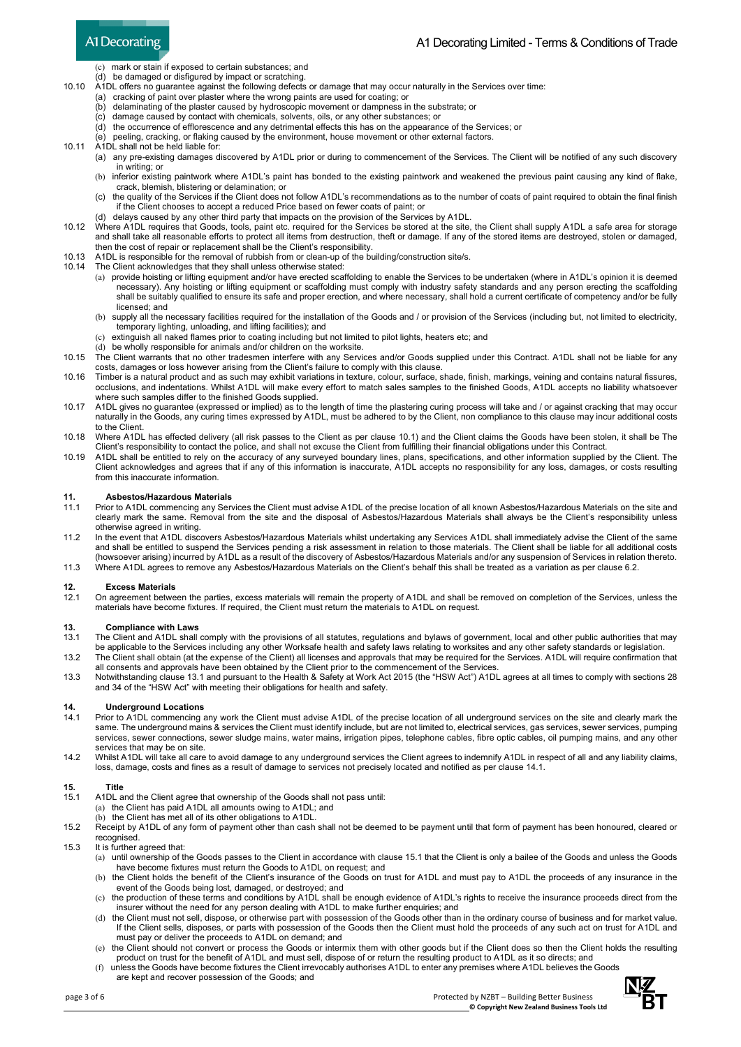

- mark or stain if exposed to certain substances; and
- be damaged or disfigured by impact or scratching.
- 10.10 A1DL offers no guarantee against the following defects or damage that may occur naturally in the Services over time:
	- cracking of paint over plaster where the wrong paints are used for coating; or
	- (b) delaminating of the plaster caused by hydroscopic movement or dampness in the substrate; or
	- (c) damage caused by contact with chemicals, solvents, oils, or any other substances; or
	- (d) the occurrence of efflorescence and any detrimental effects this has on the appearance of the Services; or  $\overrightarrow{e}$ ) peeling, cracking, or flaking caused by the environment, house movement or other external factors.
- 10.11 A1DL shall not be held liable for:
	- (a) any pre-existing damages discovered by A1DL prior or during to commencement of the Services. The Client will be notified of any such discovery in writing; or
	- (b) inferior existing paintwork where A1DL's paint has bonded to the existing paintwork and weakened the previous paint causing any kind of flake, crack, blemish, blistering or delamination; or
	- (c) the quality of the Services if the Client does not follow A1DL's recommendations as to the number of coats of paint required to obtain the final finish if the Client chooses to accept a reduced Price based on fewer coats of paint; or
	- (d) delays caused by any other third party that impacts on the provision of the Services by A1DL.
- 10.12 Where A1DL requires that Goods, tools, paint etc. required for the Services be stored at the site, the Client shall supply A1DL a safe area for storage and shall take all reasonable efforts to protect all items from destruction, theft or damage. If any of the stored items are destroyed, stolen or damaged, then the cost of repair or replacement shall be the Client's responsibility
- 10.13 A1DL is responsible for the removal of rubbish from or clean-up of the building/construction site/s.<br>10.14 The Client acknowledges that they shall unless otherwise stated:
- 
- 10.14 The Client acknowledges that they shall unless otherwise stated: (a) provide hoisting or lifting equipment and/or have erected scaffolding to enable the Services to be undertaken (where in A1DL's opinion it is deemed necessary). Any hoisting or lifting equipment or scaffolding must comply with industry safety standards and any person erecting the scaffolding shall be suitably qualified to ensure its safe and proper erection, and where necessary, shall hold a current certificate of competency and/or be fully licensed; and
	- supply all the necessary facilities required for the installation of the Goods and / or provision of the Services (including but, not limited to electricity, temporary lighting, unloading, and lifting facilities); and
	- extinguish all naked flames prior to coating including but not limited to pilot lights, heaters etc; and
	- (d) be wholly responsible for animals and/or children on the worksite.
- 10.15 The Client warrants that no other tradesmen interfere with any Services and/or Goods supplied under this Contract. A1DL shall not be liable for any costs, damages or loss however arising from the Client's failure to comply with this clause.
- 10.16 Timber is a natural product and as such may exhibit variations in texture, colour, surface, shade, finish, markings, veining and contains natural fissures, occlusions, and indentations. Whilst A1DL will make every effort to match sales samples to the finished Goods, A1DL accepts no liability whatsoever where such samples differ to the finished Goods supplied.
- 10.17 A1DL gives no guarantee (expressed or implied) as to the length of time the plastering curing process will take and / or against cracking that may occur naturally in the Goods, any curing times expressed by A1DL, must be adhered to by the Client, non compliance to this clause may incur additional costs to the Client.
- 10.18 Where A1DL has effected delivery (all risk passes to the Client as per clause 10.1) and the Client claims the Goods have been stolen, it shall be The Client's responsibility to contact the police, and shall not excuse the Client from fulfilling their financial obligations under this Contract.
- 10.19 A1DL shall be entitled to rely on the accuracy of any surveyed boundary lines, plans, specifications, and other information supplied by the Client. The Client acknowledges and agrees that if any of this information is inaccurate, A1DL accepts no responsibility for any loss, damages, or costs resulting from this inaccurate information.

### **11. Asbestos/Hazardous Materials**

- 11.1 Prior to A1DL commencing any Services the Client must advise A1DL of the precise location of all known Asbestos/Hazardous Materials on the site and clearly mark the same. Removal from the site and the disposal of Asbestos/Hazardous Materials shall always be the Client's responsibility unless otherwise agreed in writing.
- 11.2 In the event that A1DL discovers Asbestos/Hazardous Materials whilst undertaking any Services A1DL shall immediately advise the Client of the same and shall be entitled to suspend the Services pending a risk assessment in relation to those materials. The Client shall be liable for all additional costs (howsoever arising) incurred by A1DL as a result of the discovery of Asbestos/Hazardous Materials and/or any suspension of Services in relation thereto. 11.3 Where A1DL agrees to remove any Asbestos/Hazardous Materials on the Client's behalf this shall be treated as a variation as per clause 6.2.

**12. Excess Materials**<br>12.1 On agreement betwe 12.1 On agreement between the parties, excess materials will remain the property of A1DL and shall be removed on completion of the Services, unless the materials have become fixtures. If required, the Client must return the materials to A1DL on request.

### **13. Compliance with Laws**

- The Client and A1DL shall comply with the provisions of all statutes, regulations and bylaws of government, local and other public authorities that may be applicable to the Services including any other Worksafe health and safety laws relating to worksites and any other safety standards or legislation.
- 13.2 The Client shall obtain (at the expense of the Client) all licenses and approvals that may be required for the Services. A1DL will require confirmation that all consents and approvals have been obtained by the Client prior to the commencement of the Services.
- 13.3 Notwithstanding clause 13.1 and pursuant to the Health & Safety at Work Act 2015 (the "HSW Act") A1DL agrees at all times to comply with sections 28 and 34 of the "HSW Act" with meeting their obligations for health and safety.

### **14.** Underground Locations<br>14.1 Prior to A1DL commencing

- Prior to A1DL commencing any work the Client must advise A1DL of the precise location of all underground services on the site and clearly mark the same. The underground mains & services the Client must identify include, but are not limited to, electrical services, gas services, sewer services, pumping services, sewer connections, sewer sludge mains, water mains, irrigation pipes, telephone cables, fibre optic cables, oil pumping mains, and any other services that may be on site.
- 14.2 Whilst A1DL will take all care to avoid damage to any underground services the Client agrees to indemnify A1DL in respect of all and any liability claims, loss, damage, costs and fines as a result of damage to services not precisely located and notified as per clause 14.1.

- **15.** Title<br>15.1 A1DL a
- 15.1 A1DL and the Client agree that ownership of the Goods shall not pass until: (a) the Client has paid A1DL all amounts owing to A1DL; and
	- (b) the Client has met all of its other obligations to A1DL.
- 15.2 Receipt by A1DL of any form of payment other than cash shall not be deemed to be payment until that form of payment has been honoured, cleared or recognised.
- 15.3 It is further agreed that:
	- (a) until ownership of the Goods passes to the Client in accordance with clause 15.1 that the Client is only a bailee of the Goods and unless the Goods have become fixtures must return the Goods to A1DL on request; and
	- (b) the Client holds the benefit of the Client's insurance of the Goods on trust for A1DL and must pay to A1DL the proceeds of any insurance in the event of the Goods being lost, damaged, or destroyed; and
	- (c) the production of these terms and conditions by A1DL shall be enough evidence of A1DL's rights to receive the insurance proceeds direct from the insurer without the need for any person dealing with A1DL to make further enquiries; and
	- (d) the Client must not sell, dispose, or otherwise part with possession of the Goods other than in the ordinary course of business and for market value. If the Client sells, disposes, or parts with possession of the Goods then the Client must hold the proceeds of any such act on trust for A1DL and must pay or deliver the proceeds to A1DL on demand; and
	- the Client should not convert or process the Goods or intermix them with other goods but if the Client does so then the Client holds the resulting product on trust for the benefit of A1DL and must sell, dispose of or return the resulting product to A1DL as it so directs; and
	- (f) unless the Goods have become fixtures the Client irrevocably authorises A1DL to enter any premises where A1DL believes the Goods are kept and recover possession of the Goods; and

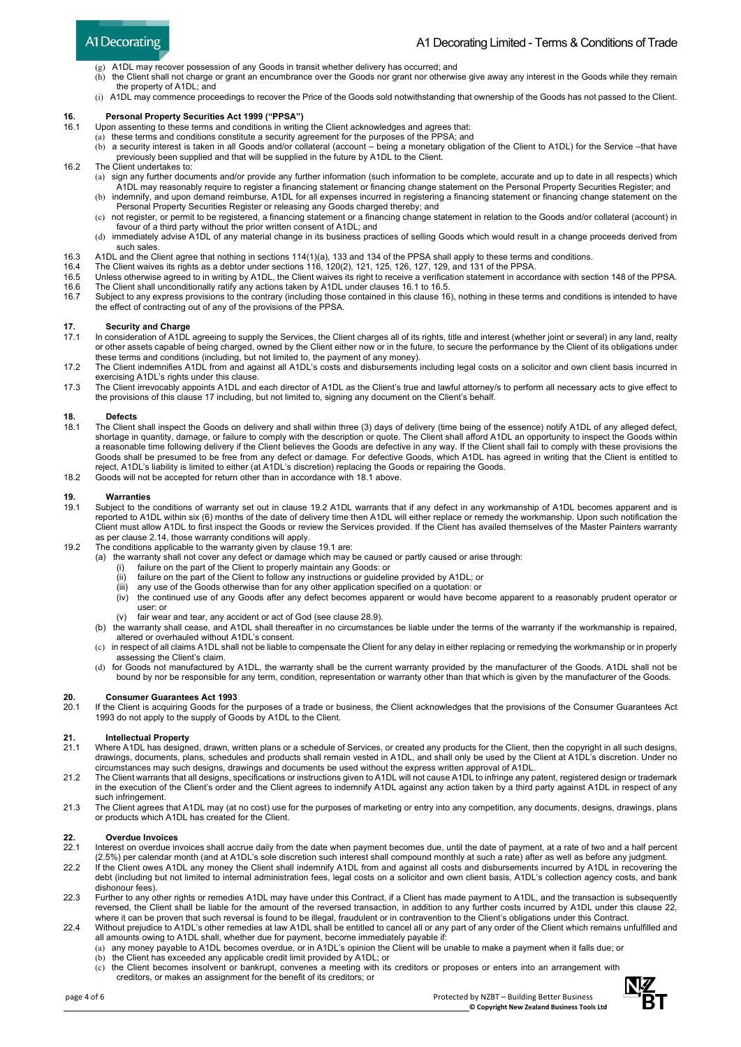

- A1 Decorating Limited Terms & Conditions of Trade
- (g) A1DL may recover possession of any Goods in transit whether delivery has occurred; and
- (h) the Client shall not charge or grant an encumbrance over the Goods nor grant nor otherwise give away any interest in the Goods while they remain the property of A1DL; and
- A1DL may commence proceedings to recover the Price of the Goods sold notwithstanding that ownership of the Goods has not passed to the Client.

- **16. Personal Property Securities Act 1999 ("PPSA")** 16.1 Upon assenting to these terms and conditions in writing the Client acknowledges and agrees that:
	- (a) these terms and conditions constitute a security agreement for the purposes of the PPSA; and
	- (b) a security interest is taken in all Goods and/or collateral (account being a monetary obligation of the Client to A1DL) for the Service –that have previously been supplied and that will be supplied in the future by A1DL to the Client.
- 16.2 The Client undertakes to:
	- (a) sign any further documents and/or provide any further information (such information to be complete, accurate and up to date in all respects) which
	- A1DL may reasonably require to register a financing statement or financing change statement on the Personal Property Securities Register; and<br>(b) indemnify, and upon demand reimburse, A1DL for all expenses incurred in reg Personal Property Securities Register or releasing any Goods charged thereby; and
	- (c) not register, or permit to be registered, a financing statement or a financing change statement in relation to the Goods and/or collateral (account) in favour of a third party without the prior written consent of A1DL; and
	- (d) immediately advise A1DL of any material change in its business practices of selling Goods which would result in a change proceeds derived from such sales
- 16.3 A1DL and the Client agree that nothing in sections 114(1)(a), 133 and 134 of the PPSA shall apply to these terms and conditions.<br>16.4 The Client waives its rights as a debtor under sections 116, 120(2), 121, 125, 126,
- 16.4 The Client waives its rights as a debtor under sections 116, 120(2), 121, 125, 126, 127, 129, and 131 of the PPSA.
- 16.5 Unless otherwise agreed to in writing by A1DL, the Client waives its right to receive a verification statement in accordance with section 148 of the PPSA. 16.6 The Client shall unconditionally ratify any actions taken by A1DL under clauses 16.1 to 16.5.<br>16.7 Subject to any express provisions to the contrary (including those contained in this clause 16
- Subject to any express provisions to the contrary (including those contained in this clause 16), nothing in these terms and conditions is intended to have the effect of contracting out of any of the provisions of the PPSA.

### **17. Security and Charge**<br>**17.1** In consideration of A1DI

- 17.1 In consideration of A1DL agreeing to supply the Services, the Client charges all of its rights, title and interest (whether joint or several) in any land, realty or other assets capable of being charged, owned by the Client either now or in the future, to secure the performance by the Client of its obligations under these terms and conditions (including, but not limited to, the payment of any money).
- 17.2 The Client indemnifies A1DL from and against all A1DL's costs and disbursements including legal costs on a solicitor and own client basis incurred in exercising A1DL's rights under this clause.
- 17.3 The Client irrevocably appoints A1DL and each director of A1DL as the Client's true and lawful attorney/s to perform all necessary acts to give effect to the provisions of this clause 17 including, but not limited to, signing any document on the Client's behalf.

### 18. Defects<br>18.1 The Client

- 18.1 The Client shall inspect the Goods on delivery and shall within three (3) days of delivery (time being of the essence) notify A1DL of any alleged defect, shortage in quantity, damage, or failure to comply with the description or quote. The Client shall afford A1DL an opportunity to inspect the Goods within a reasonable time following delivery if the Client believes the Goods are defective in any way. If the Client shall fail to comply with these provisions the Goods shall be presumed to be free from any defect or damage. For defective Goods, which A1DL has agreed in writing that the Client is entitled to reject, A1DL's liability is limited to either (at A1DL's discretion) replacing the Goods or repairing the Goods.
- 18.2 Goods will not be accepted for return other than in accordance with 18.1 above.

- **19. Warranties** 19.1 Subject to the conditions of warranty set out in clause 19.2 A1DL warrants that if any defect in any workmanship of A1DL becomes apparent and is reported to A1DL within six (6) months of the date of delivery time then A1DL will either replace or remedy the workmanship. Upon such notification the Client must allow A1DL to first inspect the Goods or review the Services provided. If the Client has availed themselves of the Master Painters warranty as per clause 2.14, those warranty conditions will apply.
- 19.2 The conditions applicable to the warranty given by clause 19.1 are:
	- (a) the warranty shall not cover any defect or damage which may be caused or partly caused or arise through:
		- (i) failure on the part of the Client to properly maintain any Goods: or
		- (ii) failure on the part of the Client to follow any instructions or guideline provided by A1DL; or
		- (iii) any use of the Goods otherwise than for any other application specified on a quotation: or
		- (iv) the continued use of any Goods after any defect becomes apparent or would have become apparent to a reasonably prudent operator or user: or
		- (v) fair wear and tear, any accident or act of God (see clause 28.9).
	- (b) the warranty shall cease, and A1DL shall thereafter in no circumstances be liable under the terms of the warranty if the workmanship is repaired, altered or overhauled without A1DL's consent.
	- (c) in respect of all claims A1DL shall not be liable to compensate the Client for any delay in either replacing or remedying the workmanship or in properly assessing the Client's claim.
	- (d) for Goods not manufactured by A1DL, the warranty shall be the current warranty provided by the manufacturer of the Goods. A1DL shall not be bound by nor be responsible for any term, condition, representation or warranty other than that which is given by the manufacturer of the Goods.

### **20. Consumer Guarantees Act 1993**<br>20.1 If the Client is acquiring Goods for the

20.1 If the Client is acquiring Goods for the purposes of a trade or business, the Client acknowledges that the provisions of the Consumer Guarantees Act 1993 do not apply to the supply of Goods by A1DL to the Client.

### **21. Intellectual Property**<br>21.1 Where A1DL has design

- Where A1DL has designed, drawn, written plans or a schedule of Services, or created any products for the Client, then the copyright in all such designs, drawings, documents, plans, schedules and products shall remain vested in A1DL, and shall only be used by the Client at A1DL's discretion. Under no circumstances may such designs, drawings and documents be used without the express written approval of A1DL.
- 21.2 The Client warrants that all designs, specifications or instructions given to A1DL will not cause A1DL to infringe any patent, registered design or trademark in the execution of the Client's order and the Client agrees to indemnify A1DL against any action taken by a third party against A1DL in respect of any such infringement.
- 21.3 The Client agrees that A1DL may (at no cost) use for the purposes of marketing or entry into any competition, any documents, designs, drawings, plans or products which A1DL has created for the Client.

## 22. **Overdue Invoices**<br>22.1 **Interest on overdue in**

- Interest on overdue invoices shall accrue daily from the date when payment becomes due, until the date of payment, at a rate of two and a half percent (2.5%) per calendar month (and at A1DL's sole discretion such interest shall compound monthly at such a rate) after as well as before any judgment.
- 22.2 If the Client owes A1DL any money the Client shall indemnify A1DL from and against all costs and disbursements incurred by A1DL in recovering the debt (including but not limited to internal administration fees, legal costs on a solicitor and own client basis, A1DL's collection agency costs, and bank dishonour fees).
- 22.3 Further to any other rights or remedies A1DL may have under this Contract, if a Client has made payment to A1DL, and the transaction is subsequently reversed, the Client shall be liable for the amount of the reversed transaction, in addition to any further costs incurred by A1DL under this clause 22, where it can be proven that such reversal is found to be illegal, fraudulent or in contravention to the Client's obligations under this Contract.
- 22.4 Without prejudice to A1DL's other remedies at law A1DL shall be entitled to cancel all or any part of any order of the Client which remains unfulfilled and all amounts owing to A1DL shall, whether due for payment, become immediately payable if:
	- (a) any money payable to A1DL becomes overdue, or in A1DL's opinion the Client will be unable to make a payment when it falls due; or (b) the Client has exceeded any applicable credit limit provided by A1DL; or
	- $(c)$  the Client becomes insolvent or bankrupt, convenes a meeting with its creditors or proposes or enters into an arrangement with creditors, or makes an assignment for the benefit of its creditors; or

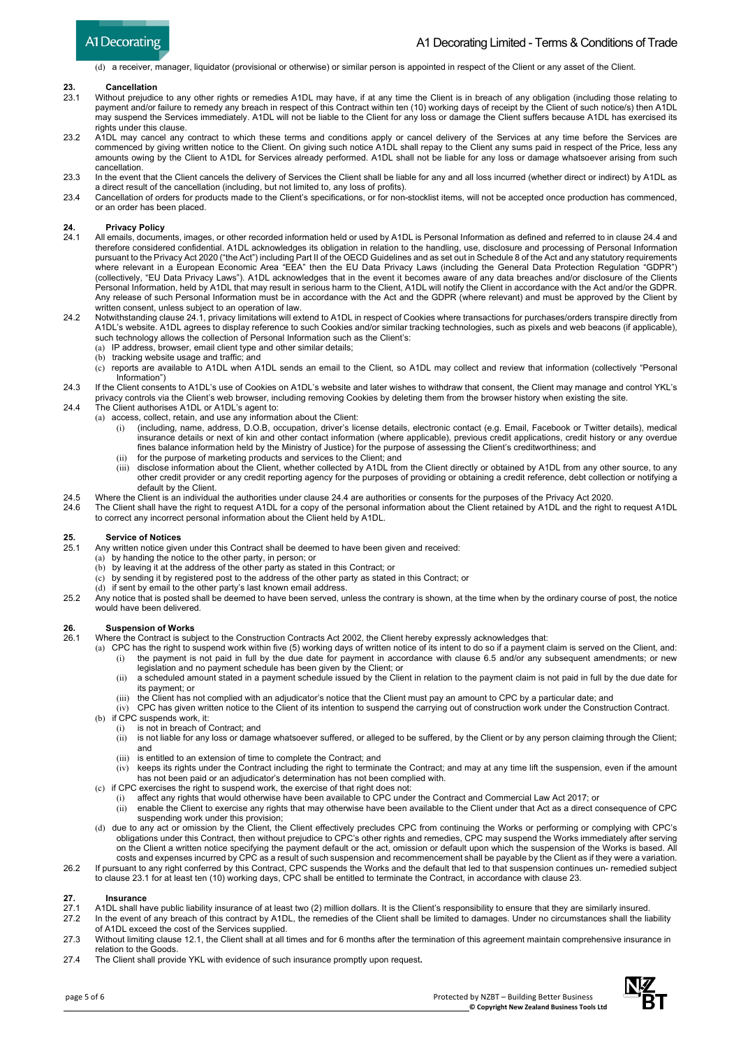

(d) a receiver, manager, liquidator (provisional or otherwise) or similar person is appointed in respect of the Client or any asset of the Client.

# 23. **Cancellation**<br>23.1 Without prejudic

- Without prejudice to any other rights or remedies A1DL may have, if at any time the Client is in breach of any obligation (including those relating to payment and/or failure to remedy any breach in respect of this Contract within ten (10) working days of receipt by the Client of such notice/s) then A1DL may suspend the Services immediately. A1DL will not be liable to the Client for any loss or damage the Client suffers because A1DL has exercised its rights under this clause.
- 23.2 A1DL may cancel any contract to which these terms and conditions apply or cancel delivery of the Services at any time before the Services are commenced by giving written notice to the Client. On giving such notice A1DL shall repay to the Client any sums paid in respect of the Price, less any amounts owing by the Client to A1DL for Services already performed. A1DL shall not be liable for any loss or damage whatsoever arising from such cancellation.
- 23.3 In the event that the Client cancels the delivery of Services the Client shall be liable for any and all loss incurred (whether direct or indirect) by A1DL as a direct result of the cancellation (including, but not limited to, any loss of profits).
- 23.4 Cancellation of orders for products made to the Client's specifications, or for non-stocklist items, will not be accepted once production has commenced, or an order has been placed.

# 24. **Privacy Policy**<br>24.1 All emails, docume

- 24.1 All emails, documents, images, or other recorded information held or used by A1DL is Personal Information as defined and referred to in clause 24.4 and therefore considered confidential. A1DL acknowledges its obligation in relation to the handling, use, disclosure and processing of Personal Information pursuant to the Privacy Act 2020 ("the Act") including Part II of the OECD Guidelines and as set out in Schedule 8 of the Act and any statutory requirements where relevant in a European Economic Area "EEA" then the EU Data Privacy Laws (including the General Data Protection Regulation "GDPR") (collectively, "EU Data Privacy Laws"). A1DL acknowledges that in the event it becomes aware of any data breaches and/or disclosure of the Clients Personal Information, held by A1DL that may result in serious harm to the Client, A1DL will notify the Client in accordance with the Act and/or the GDPR. Any release of such Personal Information must be in accordance with the Act and the GDPR (where relevant) and must be approved by the Client by written consent, unless subject to an operation of law.
- 24.2 Notwithstanding clause 24.1, privacy limitations will extend to A1DL in respect of Cookies where transactions for purchases/orders transpire directly from A1DL's website. A1DL agrees to display reference to such Cookies and/or similar tracking technologies, such as pixels and web beacons (if applicable), such technology allows the collection of Personal Information such as the Client's:
	- (a) IP address, browser, email client type and other similar details;
	- (b) tracking website usage and traffic; and
	- (c) reports are available to A1DL when A1DL sends an email to the Client, so A1DL may collect and review that information (collectively "Personal Information")
- 24.3 If the Client consents to A1DL's use of Cookies on A1DL's website and later wishes to withdraw that consent, the Client may manage and control YKL's privacy controls via the Client's web browser, including removing Cookies by deleting them from the browser history when existing the site.
- 24.4 The Client authorises A1DL or A1DL's agent to:
	- (a) access, collect, retain, and use any information about the Client:
		- (i) (including, name, address, D.O.B, occupation, driver's license details, electronic contact (e.g. Email, Facebook or Twitter details), medical insurance details or next of kin and other contact information (where applicable), previous credit applications, credit history or any overdue fines balance information held by the Ministry of Justice) for the purpose of assessing the Client's creditworthiness; and (ii) for the purpose of marketing products and services to the Client; and
		- (iii) disclose information about the Client, whether collected by A1DL from the Client directly or obtained by A1DL from any other source, to any other credit provider or any credit reporting agency for the purposes of providing or obtaining a credit reference, debt collection or notifying a default by the Client.
- 24.5 Where the Client is an individual the authorities under clause 24.4 are authorities or consents for the purposes of the Privacy Act 2020.<br>24.6 The Client shall have the right to request A1DL for a copy of the personal
	- The Client shall have the right to request A1DL for a copy of the personal information about the Client retained by A1DL and the right to request A1DL to correct any incorrect personal information about the Client held by A1DL.

# **25. Service of Notices**<br>25.1 Any written notice give

Any written notice given under this Contract shall be deemed to have been given and received:

- (a) by handing the notice to the other party, in person; or
- (b) by leaving it at the address of the other party as stated in this Contract; or
- (c) by sending it by registered post to the address of the other party as stated in this Contract; or
- (d) if sent by email to the other party's last known email address.
- 25.2 Any notice that is posted shall be deemed to have been served, unless the contrary is shown, at the time when by the ordinary course of post, the notice would have been delivered.

# **26.** Suspension of Works<br>26.1 Where the Contract is sub

26.1 Where the Contract is subject to the Construction Contracts Act 2002, the Client hereby expressly acknowledges that:

- (a) CPC has the right to suspend work within five (5) working days of written notice of its intent to do so if a payment claim is served on the Client, and: (i) the payment is not paid in full by the due date for payment in accordance with clause 6.5 and/or any subsequent amendments; or new legislation and no payment schedule has been given by the Client; or
	- (ii) a scheduled amount stated in a payment schedule issued by the Client in relation to the payment claim is not paid in full by the due date for its payment; or
	- (iii) the Client has not complied with an adjudicator's notice that the Client must pay an amount to CPC by a particular date; and
- (iv) CPC has given written notice to the Client of its intention to suspend the carrying out of construction work under the Construction Contract. (b) if CPC suspends work, it:
	-
	- (i) is not in breach of Contract; and<br>(ii) is not liable for any loss or dama is not liable for any loss or damage whatsoever suffered, or alleged to be suffered, by the Client or by any person claiming through the Client; and
	- (iii) is entitled to an extension of time to complete the Contract; and
	- $(iv)$  keeps its rights under the Contract including the right to terminate the Contract; and may at any time lift the suspension, even if the amount has not been paid or an adjudicator's determination has not been complied with.
- (c) if CPC exercises the right to suspend work, the exercise of that right does not:
	- affect any rights that would otherwise have been available to CPC under the Contract and Commercial Law Act 2017; or
		- (ii) enable the Client to exercise any rights that may otherwise have been available to the Client under that Act as a direct consequence of CPC suspending work under this provision;
- (d) due to any act or omission by the Client, the Client effectively precludes CPC from continuing the Works or performing or complying with CPC's obligations under this Contract, then without prejudice to CPC's other rights and remedies, CPC may suspend the Works immediately after serving on the Client a written notice specifying the payment default or the act, omission or default upon which the suspension of the Works is based. All costs and expenses incurred by CPC as a result of such suspension and recommencement shall be payable by the Client as if they were a variation.
- 26.2 If pursuant to any right conferred by this Contract, CPC suspends the Works and the default that led to that suspension continues un- remedied subject to clause 23.1 for at least ten (10) working days, CPC shall be entitled to terminate the Contract, in accordance with clause 23.

# **27. Insurance**

- 27.1 A1DL shall have public liability insurance of at least two (2) million dollars. It is the Client's responsibility to ensure that they are similarly insured.
- 27.2 In the event of any breach of this contract by A1DL, the remedies of the Client shall be limited to damages. Under no circumstances shall the liability of A1DL exceed the cost of the Services supplied.
- 27.3 Without limiting clause 12.1, the Client shall at all times and for 6 months after the termination of this agreement maintain comprehensive insurance in relation to the Goods.
- 27.4 The Client shall provide YKL with evidence of such insurance promptly upon request**.**